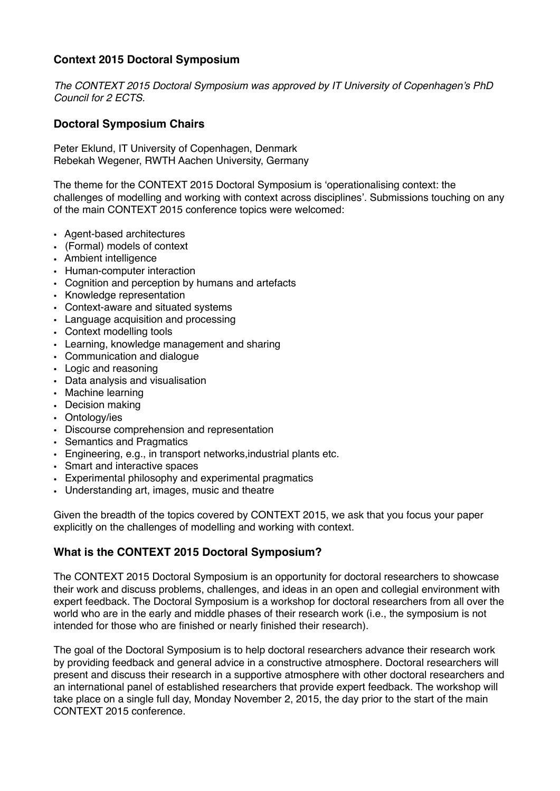# **Context 2015 Doctoral Symposium**

*The CONTEXT 2015 Doctoral Symposium was approved by IT University of Copenhagen's PhD Council for 2 ECTS.*

### **Doctoral Symposium Chairs**

Peter Eklund, IT University of Copenhagen, Denmark Rebekah Wegener, RWTH Aachen University, Germany

The theme for the CONTEXT 2015 Doctoral Symposium is 'operationalising context: the challenges of modelling and working with context across disciplines'. Submissions touching on any of the main CONTEXT 2015 conference topics were welcomed:

- Agent-based architectures
- (Formal) models of context
- Ambient intelligence
- Human-computer interaction
- Cognition and perception by humans and artefacts
- Knowledge representation
- Context-aware and situated systems
- Language acquisition and processing
- Context modelling tools
- Learning, knowledge management and sharing
- Communication and dialogue
- Logic and reasoning
- Data analysis and visualisation
- Machine learning
- Decision making
- Ontology/ies
- Discourse comprehension and representation
- Semantics and Pragmatics
- Engineering, e.g., in transport networks,industrial plants etc.
- Smart and interactive spaces
- Experimental philosophy and experimental pragmatics
- Understanding art, images, music and theatre

Given the breadth of the topics covered by CONTEXT 2015, we ask that you focus your paper explicitly on the challenges of modelling and working with context.

#### **What is the CONTEXT 2015 Doctoral Symposium?**

The CONTEXT 2015 Doctoral Symposium is an opportunity for doctoral researchers to showcase their work and discuss problems, challenges, and ideas in an open and collegial environment with expert feedback. The Doctoral Symposium is a workshop for doctoral researchers from all over the world who are in the early and middle phases of their research work (i.e., the symposium is not intended for those who are finished or nearly finished their research).

The goal of the Doctoral Symposium is to help doctoral researchers advance their research work by providing feedback and general advice in a constructive atmosphere. Doctoral researchers will present and discuss their research in a supportive atmosphere with other doctoral researchers and an international panel of established researchers that provide expert feedback. The workshop will take place on a single full day, Monday November 2, 2015, the day prior to the start of the main CONTEXT 2015 conference.